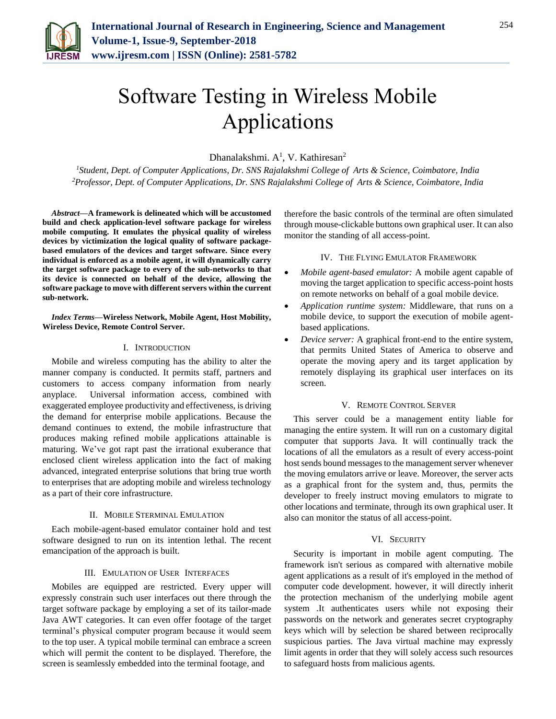

# Software Testing in Wireless Mobile Applications

Dhanalakshmi.  $A^1$ , V. Kathiresan<sup>2</sup>

*<sup>1</sup>Student, Dept. of Computer Applications, Dr. SNS Rajalakshmi College of Arts & Science, Coimbatore, India 2Professor, Dept. of Computer Applications, Dr. SNS Rajalakshmi College of Arts & Science, Coimbatore, India*

*Abstract***—A framework is delineated which will be accustomed build and check application-level software package for wireless mobile computing. It emulates the physical quality of wireless devices by victimization the logical quality of software packagebased emulators of the devices and target software. Since every individual is enforced as a mobile agent, it will dynamically carry the target software package to every of the sub-networks to that its device is connected on behalf of the device, allowing the software package to move with different servers within the current sub-network.**

*Index Terms***—Wireless Network, Mobile Agent, Host Mobility, Wireless Device, Remote Control Server.**

## I. INTRODUCTION

Mobile and wireless computing has the ability to alter the manner company is conducted. It permits staff, partners and customers to access company information from nearly anyplace. Universal information access, combined with exaggerated employee productivity and effectiveness, is driving the demand for enterprise mobile applications. Because the demand continues to extend, the mobile infrastructure that produces making refined mobile applications attainable is maturing. We've got rapt past the irrational exuberance that enclosed client wireless application into the fact of making advanced, integrated enterprise solutions that bring true worth to enterprises that are adopting mobile and wireless technology as a part of their core infrastructure.

## II. MOBILE STERMINAL EMULATION

Each mobile-agent-based emulator container hold and test software designed to run on its intention lethal. The recent emancipation of the approach is built.

#### III. EMULATION OF USER INTERFACES

Mobiles are equipped are restricted. Every upper will expressly constrain such user interfaces out there through the target software package by employing a set of its tailor-made Java AWT categories. It can even offer footage of the target terminal's physical computer program because it would seem to the top user. A typical mobile terminal can embrace a screen which will permit the content to be displayed. Therefore, the screen is seamlessly embedded into the terminal footage, and

therefore the basic controls of the terminal are often simulated through mouse-clickable buttons own graphical user. It can also monitor the standing of all access-point.

#### IV. THE FLYING EMULATOR FRAMEWORK

- *Mobile agent-based emulator:* A mobile agent capable of moving the target application to specific access-point hosts on remote networks on behalf of a goal mobile device.
- *Application runtime system:* Middleware, that runs on a mobile device, to support the execution of mobile agentbased applications.
- *Device server:* A graphical front-end to the entire system, that permits United States of America to observe and operate the moving apery and its target application by remotely displaying its graphical user interfaces on its screen.

## V. REMOTE CONTROL SERVER

This server could be a management entity liable for managing the entire system. It will run on a customary digital computer that supports Java. It will continually track the locations of all the emulators as a result of every access-point host sends bound messages to the management server whenever the moving emulators arrive or leave. Moreover, the server acts as a graphical front for the system and, thus, permits the developer to freely instruct moving emulators to migrate to other locations and terminate, through its own graphical user. It also can monitor the status of all access-point.

## VI. SECURITY

Security is important in mobile agent computing. The framework isn't serious as compared with alternative mobile agent applications as a result of it's employed in the method of computer code development. however, it will directly inherit the protection mechanism of the underlying mobile agent system .It authenticates users while not exposing their passwords on the network and generates secret cryptography keys which will by selection be shared between reciprocally suspicious parties. The Java virtual machine may expressly limit agents in order that they will solely access such resources to safeguard hosts from malicious agents.